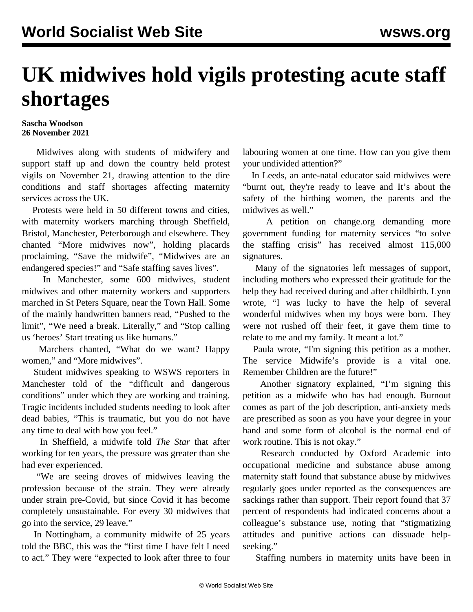## **UK midwives hold vigils protesting acute staff shortages**

## **Sascha Woodson 26 November 2021**

 Midwives along with students of midwifery and support staff up and down the country held protest vigils on November 21, drawing attention to the dire conditions and staff shortages affecting maternity services across the UK.

 Protests were held in 50 different towns and cities, with maternity workers marching through Sheffield, Bristol, Manchester, Peterborough and elsewhere. They chanted "More midwives now", holding placards proclaiming, "Save the midwife", "Midwives are an endangered species!" and "Safe staffing saves lives".

 In Manchester, some 600 midwives, student midwives and other maternity workers and supporters marched in St Peters Square, near the Town Hall. Some of the mainly handwritten banners read, "Pushed to the limit", "We need a break. Literally," and "Stop calling us 'heroes' Start treating us like humans."

 Marchers chanted, "What do we want? Happy women," and "More midwives".

 Student midwives speaking to WSWS reporters in Manchester told of the "difficult and dangerous conditions" under which they are working and training. Tragic incidents included students needing to look after dead babies, "This is traumatic, but you do not have any time to deal with how you feel."

 In Sheffield, a midwife told *The Star* that after working for ten years, the pressure was greater than she had ever experienced.

 "We are seeing droves of midwives leaving the profession because of the strain. They were already under strain pre-Covid, but since Covid it has become completely unsustainable. For every 30 midwives that go into the service, 29 leave."

 In Nottingham, a community midwife of 25 years told the BBC, this was the "first time I have felt I need to act." They were "expected to look after three to four labouring women at one time. How can you give them your undivided attention?"

 In Leeds, an ante-natal educator said midwives were "burnt out, they're ready to leave and It's about the safety of the birthing women, the parents and the midwives as well."

 A petition on change.org demanding more government funding for maternity services "to solve the staffing crisis" has received almost 115,000 signatures.

 Many of the signatories left messages of support, including mothers who expressed their gratitude for the help they had received during and after childbirth. Lynn wrote, "I was lucky to have the help of several wonderful midwives when my boys were born. They were not rushed off their feet, it gave them time to relate to me and my family. It meant a lot."

 Paula wrote, "I'm signing this petition as a mother. The service Midwife's provide is a vital one. Remember Children are the future!"

 Another signatory explained, "I'm signing this petition as a midwife who has had enough. Burnout comes as part of the job description, anti-anxiety meds are prescribed as soon as you have your degree in your hand and some form of alcohol is the normal end of work routine. This is not okay."

 Research conducted by Oxford Academic into occupational medicine and substance abuse among maternity staff found that substance abuse by midwives regularly goes under reported as the consequences are sackings rather than support. Their report found that 37 percent of respondents had indicated concerns about a colleague's substance use, noting that "stigmatizing attitudes and punitive actions can dissuade helpseeking."

Staffing numbers in maternity units have been in